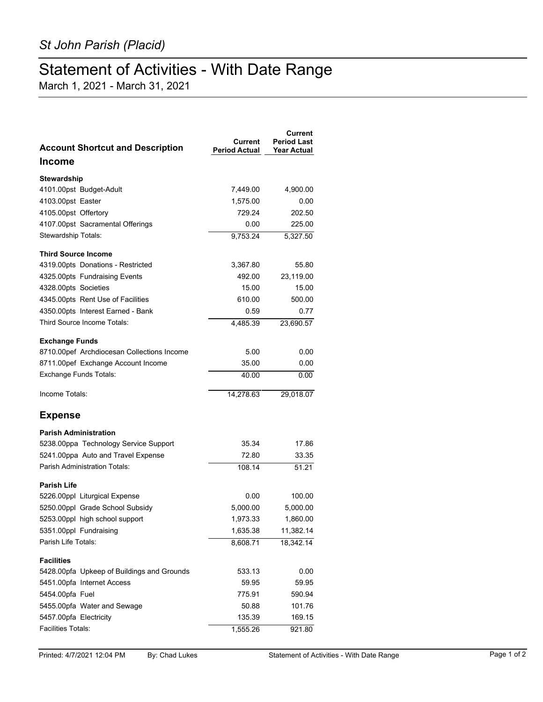## Statement of Activities - With Date Range

March 1, 2021 - March 31, 2021

| <b>Account Shortcut and Description</b>    | Current<br><b>Period Actual</b> | Current<br><b>Period Last</b><br><b>Year Actual</b> |
|--------------------------------------------|---------------------------------|-----------------------------------------------------|
| <b>Income</b>                              |                                 |                                                     |
| Stewardship                                |                                 |                                                     |
| 4101.00pst Budget-Adult                    | 7,449.00                        | 4,900.00                                            |
| 4103.00pst Easter                          | 1,575.00                        | 0.00                                                |
| 4105.00pst Offertory                       | 729.24                          | 202.50                                              |
| 4107.00pst Sacramental Offerings           | 0.00                            | 225.00                                              |
| Stewardship Totals:                        | 9,753.24                        | 5,327.50                                            |
| <b>Third Source Income</b>                 |                                 |                                                     |
| 4319.00pts Donations - Restricted          | 3,367.80                        | 55.80                                               |
| 4325.00pts Fundraising Events              | 492.00                          | 23,119.00                                           |
| 4328.00pts Societies                       | 15.00                           | 15.00                                               |
| 4345.00pts Rent Use of Facilities          | 610.00                          | 500.00                                              |
| 4350.00pts Interest Earned - Bank          | 0.59                            | 0.77                                                |
| Third Source Income Totals:                | 4,485.39                        | 23,690.57                                           |
| <b>Exchange Funds</b>                      |                                 |                                                     |
| 8710.00pef Archdiocesan Collections Income | 5.00                            | 0.00                                                |
| 8711.00pef Exchange Account Income         | 35.00                           | 0.00                                                |
| Exchange Funds Totals:                     | 40.00                           | 0.00                                                |
| Income Totals:                             | 14,278.63                       | 29,018.07                                           |
| <b>Expense</b>                             |                                 |                                                     |
| Parish Administration                      |                                 |                                                     |
| 5238.00ppa Technology Service Support      | 35.34                           | 17.86                                               |
| 5241.00ppa Auto and Travel Expense         | 72.80                           | 33.35                                               |
| <b>Parish Administration Totals:</b>       | 108.14                          | 51.21                                               |
| <b>Parish Life</b>                         |                                 |                                                     |
| 5226.00ppl Liturgical Expense              | 0.00                            | 100.00                                              |
| 5250.00ppl Grade School Subsidy            | 5,000.00                        | 5,000.00                                            |
| 5253.00ppl high school support             | 1,973.33                        | 1,860.00                                            |
| 5351.00ppl Fundraising                     | 1,635.38                        | 11,382.14                                           |
| Parish Life Totals:                        | 8,608.71                        | 18,342.14                                           |
| <b>Facilities</b>                          |                                 |                                                     |
| 5428.00pfa Upkeep of Buildings and Grounds | 533.13                          | 0.00                                                |
| 5451.00pfa Internet Access                 | 59.95                           | 59.95                                               |
| 5454.00pfa Fuel                            | 775.91                          | 590.94                                              |
| 5455.00pfa Water and Sewage                | 50.88                           | 101.76                                              |
| 5457.00pfa Electricity                     | 135.39                          | 169.15                                              |
| Facilities Totals:                         | 1,555.26                        | 921.80                                              |